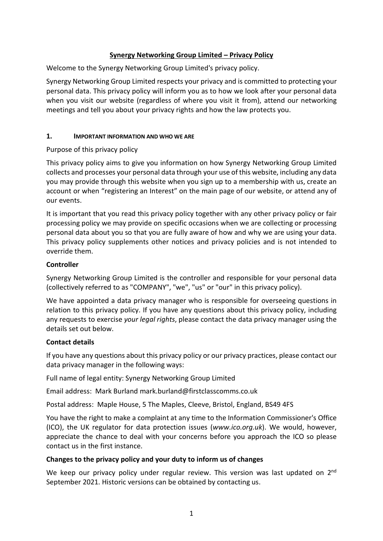# **Synergy Networking Group Limited – Privacy Policy**

Welcome to the Synergy Networking Group Limited's privacy policy.

Synergy Networking Group Limited respects your privacy and is committed to protecting your personal data. This privacy policy will inform you as to how we look after your personal data when you visit our website (regardless of where you visit it from), attend our networking meetings and tell you about your privacy rights and how the law protects you.

#### **1. IMPORTANT INFORMATION AND WHO WE ARE**

Purpose of this privacy policy

This privacy policy aims to give you information on how Synergy Networking Group Limited collects and processes your personal data through your use of this website, including any data you may provide through this website when you sign up to a membership with us, create an account or when "registering an Interest" on the main page of our website, or attend any of our events.

It is important that you read this privacy policy together with any other privacy policy or fair processing policy we may provide on specific occasions when we are collecting or processing personal data about you so that you are fully aware of how and why we are using your data. This privacy policy supplements other notices and privacy policies and is not intended to override them.

## **Controller**

Synergy Networking Group Limited is the controller and responsible for your personal data (collectively referred to as "COMPANY", "we", "us" or "our" in this privacy policy).

We have appointed a data privacy manager who is responsible for overseeing questions in relation to this privacy policy. If you have any questions about this privacy policy, including any requests to exercise *your legal rights*, please contact the data privacy manager using the details set out below.

## **Contact details**

If you have any questions about this privacy policy or our privacy practices, please contact our data privacy manager in the following ways:

Full name of legal entity: Synergy Networking Group Limited

Email address: Mark Burland [mark.burland@firstclasscomms.co.uk](mailto:mark.burland@firstclasscomms.co.uk)

Postal address: Maple House, 5 The Maples, Cleeve, Bristol, England, BS49 4FS

You have the right to make a complaint at any time to the Information Commissioner's Office (ICO), the UK regulator for data protection issues (*www.ico.org.uk*). We would, however, appreciate the chance to deal with your concerns before you approach the ICO so please contact us in the first instance.

#### **Changes to the privacy policy and your duty to inform us of changes**

We keep our privacy policy under regular review. This version was last updated on 2<sup>nd</sup> September 2021. Historic versions can be obtained by contacting us.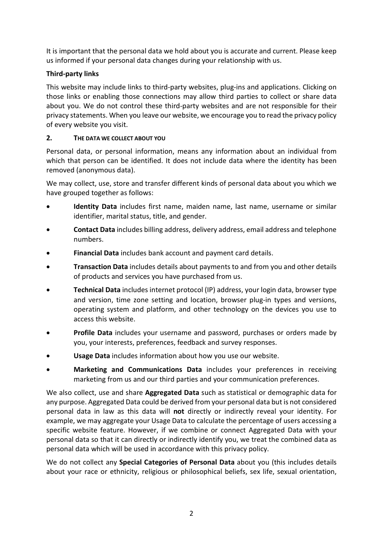It is important that the personal data we hold about you is accurate and current. Please keep us informed if your personal data changes during your relationship with us.

# **Third-party links**

This website may include links to third-party websites, plug-ins and applications. Clicking on those links or enabling those connections may allow third parties to collect or share data about you. We do not control these third-party websites and are not responsible for their privacy statements. When you leave our website, we encourage you to read the privacy policy of every website you visit.

## **2. THE DATA WE COLLECT ABOUT YOU**

Personal data, or personal information, means any information about an individual from which that person can be identified. It does not include data where the identity has been removed (anonymous data).

We may collect, use, store and transfer different kinds of personal data about you which we have grouped together as follows:

- **Identity Data** includes first name, maiden name, last name, username or similar identifier, marital status, title, and gender.
- **Contact Data** includes billing address, delivery address, email address and telephone numbers.
- **Financial Data** includes bank account and payment card details.
- **Transaction Data** includes details about payments to and from you and other details of products and services you have purchased from us.
- **Technical Data** includes internet protocol (IP) address, your login data, browser type and version, time zone setting and location, browser plug-in types and versions, operating system and platform, and other technology on the devices you use to access this website.
- **Profile Data** includes your username and password, purchases or orders made by you, your interests, preferences, feedback and survey responses.
- **Usage Data** includes information about how you use our website.
- **Marketing and Communications Data** includes your preferences in receiving marketing from us and our third parties and your communication preferences.

We also collect, use and share **Aggregated Data** such as statistical or demographic data for any purpose. Aggregated Data could be derived from your personal data but is not considered personal data in law as this data will **not** directly or indirectly reveal your identity. For example, we may aggregate your Usage Data to calculate the percentage of users accessing a specific website feature. However, if we combine or connect Aggregated Data with your personal data so that it can directly or indirectly identify you, we treat the combined data as personal data which will be used in accordance with this privacy policy.

We do not collect any **Special Categories of Personal Data** about you (this includes details about your race or ethnicity, religious or philosophical beliefs, sex life, sexual orientation,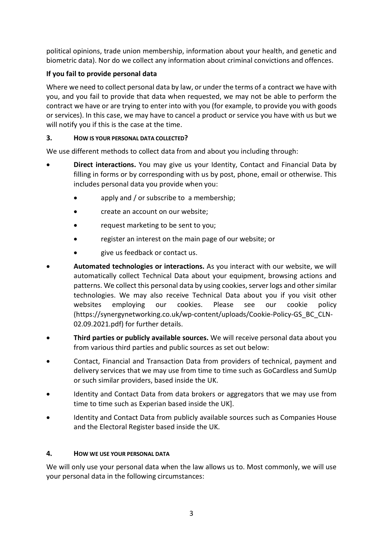political opinions, trade union membership, information about your health, and genetic and biometric data). Nor do we collect any information about criminal convictions and offences.

# **If you fail to provide personal data**

Where we need to collect personal data by law, or under the terms of a contract we have with you, and you fail to provide that data when requested, we may not be able to perform the contract we have or are trying to enter into with you (for example, to provide you with goods or services). In this case, we may have to cancel a product or service you have with us but we will notify you if this is the case at the time.

# **3. HOW IS YOUR PERSONAL DATA COLLECTED?**

We use different methods to collect data from and about you including through:

- **Direct interactions.** You may give us your Identity, Contact and Financial Data by filling in forms or by corresponding with us by post, phone, email or otherwise. This includes personal data you provide when you:
	- apply and / or subscribe to a membership;
	- create an account on our website;
	- request marketing to be sent to you;
	- register an interest on the main page of our website; or
	- give us feedback or contact us.
- **Automated technologies or interactions.** As you interact with our website, we will automatically collect Technical Data about your equipment, browsing actions and patterns. We collect this personal data by using cookies, server logs and other similar technologies. We may also receive Technical Data about you if you visit other websites employing our cookies. Please see our cookie policy [\(https://synergynetworking.co.uk/wp-content/uploads/Cookie-Policy-GS\\_BC\\_CLN-](https://synergynetworking.co.uk/wp-content/uploads/Cookie-Policy-GS_BC_CLN-02.09.2021.pdf)[02.09.2021.pdf\)](https://synergynetworking.co.uk/wp-content/uploads/Cookie-Policy-GS_BC_CLN-02.09.2021.pdf) for further details.
- **Third parties or publicly available sources.** We will receive personal data about you from various third parties and public sources as set out below:
- Contact, Financial and Transaction Data from providers of technical, payment and delivery services that we may use from time to time such as GoCardless and SumUp or such similar providers, based inside the UK.
- Identity and Contact Data from data brokers or aggregators that we may use from time to time such as Experian based inside the UK].
- Identity and Contact Data from publicly available sources such as Companies House and the Electoral Register based inside the UK.

# **4. HOW WE USE YOUR PERSONAL DATA**

We will only use your personal data when the law allows us to. Most commonly, we will use your personal data in the following circumstances: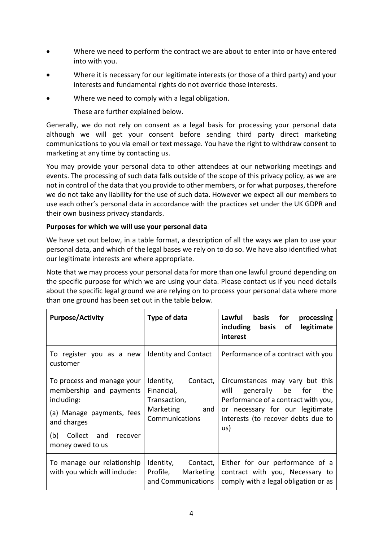- Where we need to perform the contract we are about to enter into or have entered into with you.
- Where it is necessary for our legitimate interests (or those of a third party) and your interests and fundamental rights do not override those interests.
- Where we need to comply with a legal obligation.

These are further explained below.

Generally, we do not rely on consent as a legal basis for processing your personal data although we will get your consent before sending third party direct marketing communications to you via email or text message. You have the right to withdraw consent to marketing at any time by contacting us.

You may provide your personal data to other attendees at our networking meetings and events. The processing of such data falls outside of the scope of this privacy policy, as we are not in control of the data that you provide to other members, or for what purposes, therefore we do not take any liability for the use of such data. However we expect all our members to use each other's personal data in accordance with the practices set under the UK GDPR and their own business privacy standards.

## **Purposes for which we will use your personal data**

We have set out below, in a table format, a description of all the ways we plan to use your personal data, and which of the legal bases we rely on to do so. We have also identified what our legitimate interests are where appropriate.

Note that we may process your personal data for more than one lawful ground depending on the specific purpose for which we are using your data. Please contact us if you need details about the specific legal ground we are relying on to process your personal data where more than one ground has been set out in the table below.

| <b>Purpose/Activity</b>                                                                                                                                              | Type of data                                                                           | Lawful basis for<br>processing<br>including<br>basis<br>legitimate<br>of<br>interest                                                                                                      |
|----------------------------------------------------------------------------------------------------------------------------------------------------------------------|----------------------------------------------------------------------------------------|-------------------------------------------------------------------------------------------------------------------------------------------------------------------------------------------|
| To register you as a new<br>customer                                                                                                                                 | <b>Identity and Contact</b>                                                            | Performance of a contract with you                                                                                                                                                        |
| To process and manage your<br>membership and payments<br>including:<br>(a) Manage payments, fees<br>and charges<br>Collect and<br>(b)<br>recover<br>money owed to us | Identity,<br>Contact,<br>Financial,<br>Transaction,<br>Marketing and<br>Communications | Circumstances may vary but this<br>generally be for<br>will<br>the<br>Performance of a contract with you,<br>or necessary for our legitimate<br>interests (to recover debts due to<br>us) |
| To manage our relationship<br>with you which will include:                                                                                                           | Identity, Contact,<br>Profile, Marketing<br>and Communications                         | Either for our performance of a<br>contract with you, Necessary to<br>comply with a legal obligation or as                                                                                |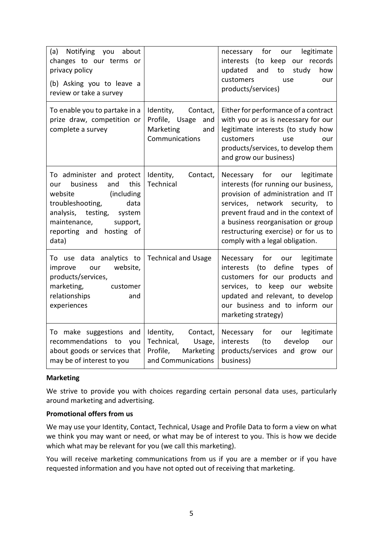| (a) Notifying you<br>about<br>changes to our terms or<br>privacy policy<br>(b) Asking you to leave a<br>review or take a survey                                                                                         |                                                                                              | legitimate<br>for<br>necessary<br>our<br>interests (to keep our records<br>and<br>to<br>study<br>updated<br>how<br>customers<br>our<br>use<br>products/services)                                                                                                                                              |
|-------------------------------------------------------------------------------------------------------------------------------------------------------------------------------------------------------------------------|----------------------------------------------------------------------------------------------|---------------------------------------------------------------------------------------------------------------------------------------------------------------------------------------------------------------------------------------------------------------------------------------------------------------|
| To enable you to partake in a<br>prize draw, competition or<br>complete a survey                                                                                                                                        | Identity,<br>Contact,<br>Profile,<br>Usage<br>and<br>Marketing<br>and<br>Communications      | Either for performance of a contract<br>with you or as is necessary for our<br>legitimate interests (to study how<br>customers<br>use<br>our<br>products/services, to develop them<br>and grow our business)                                                                                                  |
| To administer and protect<br>business<br>this<br>and<br>our<br>(including<br>website<br>troubleshooting,<br>data<br>analysis,<br>testing,<br>system<br>maintenance,<br>support,<br>reporting and<br>hosting of<br>data) | Identity,<br>Contact,<br>Technical                                                           | Necessary for<br>legitimate<br>our<br>interests (for running our business,<br>provision of administration and IT<br>services, network security,<br>to<br>prevent fraud and in the context of<br>a business reorganisation or group<br>restructuring exercise) or for us to<br>comply with a legal obligation. |
| To use data analytics to<br>website,<br>improve<br>our<br>products/services,<br>marketing,<br>customer<br>relationships<br>and<br>experiences                                                                           | <b>Technical and Usage</b>                                                                   | for<br>legitimate<br>Necessary<br>our<br>define<br>(to<br>types of<br>interests<br>customers for our products and<br>services, to keep our website<br>updated and relevant, to develop<br>our business and to inform our<br>marketing strategy)                                                               |
| To make suggestions and<br>recommendations to<br>you<br>about goods or services that<br>may be of interest to you                                                                                                       | Identity,<br>Contact,<br>Technical,<br>Usage,<br>Profile,<br>Marketing<br>and Communications | Necessary<br>for<br>legitimate<br>our<br>develop<br>interests<br>(to<br>our<br>products/services and grow our<br>business)                                                                                                                                                                                    |

#### **Marketing**

We strive to provide you with choices regarding certain personal data uses, particularly around marketing and advertising.

### **Promotional offers from us**

We may use your Identity, Contact, Technical, Usage and Profile Data to form a view on what we think you may want or need, or what may be of interest to you. This is how we decide which what may be relevant for you (we call this marketing).

You will receive marketing communications from us if you are a member or if you have requested information and you have not opted out of receiving that marketing.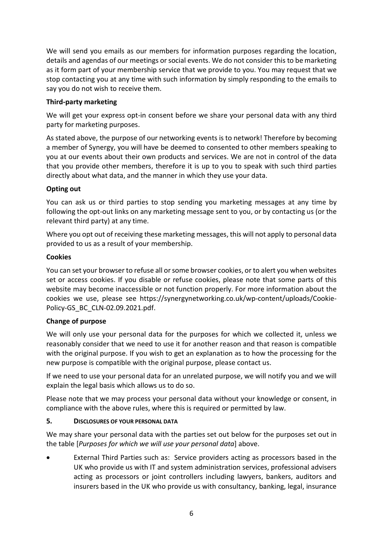We will send you emails as our members for information purposes regarding the location, details and agendas of our meetings or social events. We do not consider this to be marketing as it form part of your membership service that we provide to you. You may request that we stop contacting you at any time with such information by simply responding to the emails to say you do not wish to receive them.

## **Third-party marketing**

We will get your express opt-in consent before we share your personal data with any third party for marketing purposes.

As stated above, the purpose of our networking events is to network! Therefore by becoming a member of Synergy, you will have be deemed to consented to other members speaking to you at our events about their own products and services. We are not in control of the data that you provide other members, therefore it is up to you to speak with such third parties directly about what data, and the manner in which they use your data.

## **Opting out**

You can ask us or third parties to stop sending you marketing messages at any time by following the opt-out links on any marketing message sent to you, or by contacting us (or the relevant third party) at any time.

Where you opt out of receiving these marketing messages, this will not apply to personal data provided to us as a result of your membership.

## **Cookies**

You can set your browser to refuse all or some browser cookies, or to alert you when websites set or access cookies. If you disable or refuse cookies, please note that some parts of this website may become inaccessible or not function properly. For more information about the cookies we use, please see [https://synergynetworking.co.uk/wp-content/uploads/Cookie-](https://synergynetworking.co.uk/wp-content/uploads/Cookie-Policy-GS_BC_CLN-02.09.2021.pdf)[Policy-GS\\_BC\\_CLN-02.09.2021.pdf.](https://synergynetworking.co.uk/wp-content/uploads/Cookie-Policy-GS_BC_CLN-02.09.2021.pdf)

## **Change of purpose**

We will only use your personal data for the purposes for which we collected it, unless we reasonably consider that we need to use it for another reason and that reason is compatible with the original purpose. If you wish to get an explanation as to how the processing for the new purpose is compatible with the original purpose, please contact us.

If we need to use your personal data for an unrelated purpose, we will notify you and we will explain the legal basis which allows us to do so.

Please note that we may process your personal data without your knowledge or consent, in compliance with the above rules, where this is required or permitted by law.

#### **5. DISCLOSURES OF YOUR PERSONAL DATA**

We may share your personal data with the parties set out below for the purposes set out in the table [*Purposes for which we will use your personal data*] above.

• External Third Parties such as: Service providers acting as processors based in the UK who provide us with IT and system administration services, professional advisers acting as processors or joint controllers including lawyers, bankers, auditors and insurers based in the UK who provide us with consultancy, banking, legal, insurance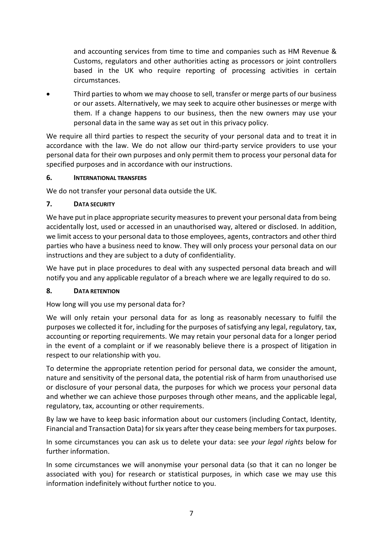and accounting services from time to time and companies such as HM Revenue & Customs, regulators and other authorities acting as processors or joint controllers based in the UK who require reporting of processing activities in certain circumstances.

• Third parties to whom we may choose to sell, transfer or merge parts of our business or our assets. Alternatively, we may seek to acquire other businesses or merge with them. If a change happens to our business, then the new owners may use your personal data in the same way as set out in this privacy policy.

We require all third parties to respect the security of your personal data and to treat it in accordance with the law. We do not allow our third-party service providers to use your personal data for their own purposes and only permit them to process your personal data for specified purposes and in accordance with our instructions.

## **6. INTERNATIONAL TRANSFERS**

We do not transfer your personal data outside the UK.

# **7. DATA SECURITY**

We have put in place appropriate security measures to prevent your personal data from being accidentally lost, used or accessed in an unauthorised way, altered or disclosed. In addition, we limit access to your personal data to those employees, agents, contractors and other third parties who have a business need to know. They will only process your personal data on our instructions and they are subject to a duty of confidentiality.

We have put in place procedures to deal with any suspected personal data breach and will notify you and any applicable regulator of a breach where we are legally required to do so.

# **8. DATA RETENTION**

How long will you use my personal data for?

We will only retain your personal data for as long as reasonably necessary to fulfil the purposes we collected it for, including for the purposes of satisfying any legal, regulatory, tax, accounting or reporting requirements. We may retain your personal data for a longer period in the event of a complaint or if we reasonably believe there is a prospect of litigation in respect to our relationship with you.

To determine the appropriate retention period for personal data, we consider the amount, nature and sensitivity of the personal data, the potential risk of harm from unauthorised use or disclosure of your personal data, the purposes for which we process your personal data and whether we can achieve those purposes through other means, and the applicable legal, regulatory, tax, accounting or other requirements.

By law we have to keep basic information about our customers (including Contact, Identity, Financial and Transaction Data) for six years after they cease being members for tax purposes.

In some circumstances you can ask us to delete your data: see *your legal rights* below for further information.

In some circumstances we will anonymise your personal data (so that it can no longer be associated with you) for research or statistical purposes, in which case we may use this information indefinitely without further notice to you.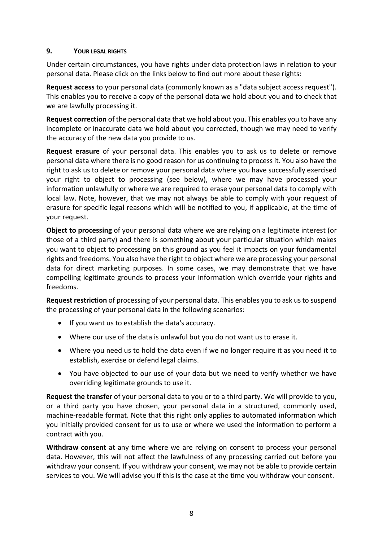## **9. YOUR LEGAL RIGHTS**

Under certain circumstances, you have rights under data protection laws in relation to your personal data. Please click on the links below to find out more about these rights:

**Request access** to your personal data (commonly known as a "data subject access request"). This enables you to receive a copy of the personal data we hold about you and to check that we are lawfully processing it.

**Request correction** of the personal data that we hold about you. This enables you to have any incomplete or inaccurate data we hold about you corrected, though we may need to verify the accuracy of the new data you provide to us.

**Request erasure** of your personal data. This enables you to ask us to delete or remove personal data where there is no good reason for us continuing to process it. You also have the right to ask us to delete or remove your personal data where you have successfully exercised your right to object to processing (see below), where we may have processed your information unlawfully or where we are required to erase your personal data to comply with local law. Note, however, that we may not always be able to comply with your request of erasure for specific legal reasons which will be notified to you, if applicable, at the time of your request.

**Object to processing** of your personal data where we are relying on a legitimate interest (or those of a third party) and there is something about your particular situation which makes you want to object to processing on this ground as you feel it impacts on your fundamental rights and freedoms. You also have the right to object where we are processing your personal data for direct marketing purposes. In some cases, we may demonstrate that we have compelling legitimate grounds to process your information which override your rights and freedoms.

**Request restriction** of processing of your personal data. This enables you to ask us to suspend the processing of your personal data in the following scenarios:

- If you want us to establish the data's accuracy.
- Where our use of the data is unlawful but you do not want us to erase it.
- Where you need us to hold the data even if we no longer require it as you need it to establish, exercise or defend legal claims.
- You have objected to our use of your data but we need to verify whether we have overriding legitimate grounds to use it.

**Request the transfer** of your personal data to you or to a third party. We will provide to you, or a third party you have chosen, your personal data in a structured, commonly used, machine-readable format. Note that this right only applies to automated information which you initially provided consent for us to use or where we used the information to perform a contract with you.

**Withdraw consent** at any time where we are relying on consent to process your personal data. However, this will not affect the lawfulness of any processing carried out before you withdraw your consent. If you withdraw your consent, we may not be able to provide certain services to you. We will advise you if this is the case at the time you withdraw your consent.